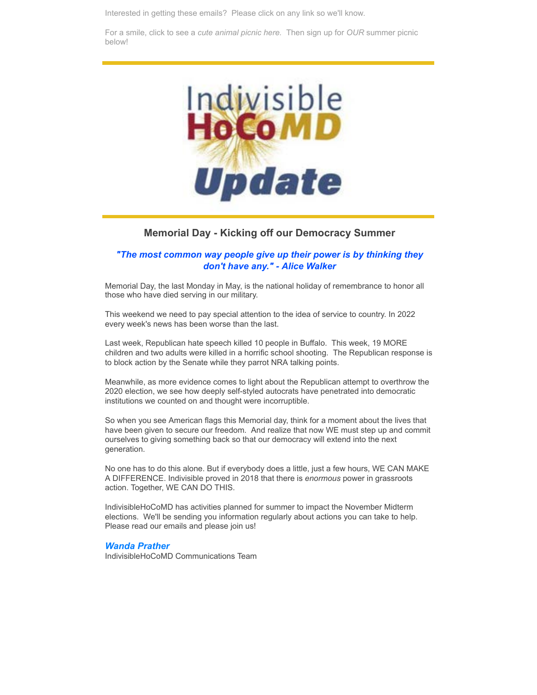Interested in getting these emails? Please click on any link so we'll know.

For a smile, click to see a *[cute animal picnic here.](https://www.instagram.com/p/CbVzWEIM6-B/?emci=d14a7f40-31de-ec11-b656-281878b85110&emdi=ea000000-0000-0000-0000-000000000001&ceid={{ContactsEmailID}})* Then sign up for *OUR* summer picnic below!



### **Memorial Day - Kicking off our Democracy Summer**

#### *"The most common way people give up their power is by thinking they don't have any." - Alice Walker*

Memorial Day, the last Monday in May, is the national holiday of remembrance to honor all those who have died serving in our military.

This weekend we need to pay special attention to the idea of service to country. In 2022 every week's news has been worse than the last.

Last week, Republican hate speech killed 10 people in Buffalo. This week, 19 MORE children and two adults were killed in a horrific school shooting. The Republican response is to block action by the Senate while they parrot NRA talking points.

Meanwhile, as more evidence comes to light about the Republican attempt to overthrow the 2020 election, we see how deeply self-styled autocrats have penetrated into democratic institutions we counted on and thought were incorruptible.

So when you see American flags this Memorial day, think for a moment about the lives that have been given to secure our freedom. And realize that now WE must step up and commit ourselves to giving something back so that our democracy will extend into the next generation.

No one has to do this alone. But if everybody does a little, just a few hours, WE CAN MAKE A DIFFERENCE. Indivisible proved in 2018 that there is *enormous* power in grassroots action. Together, WE CAN DO THIS.

IndivisibleHoCoMD has activities planned for summer to impact the November Midterm elections. We'll be sending you information regularly about actions you can take to help. Please read our emails and please join us!

#### *Wanda Prather*

IndivisibleHoCoMD Communications Team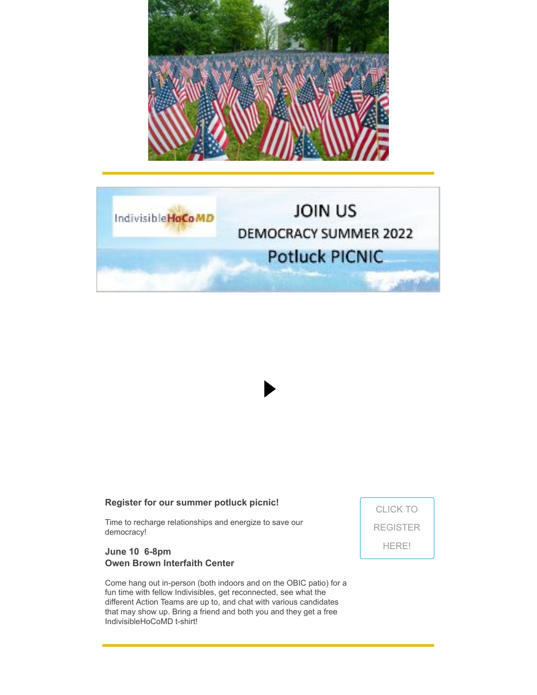



### **Register for our summer potluck picnic!**

Time to recharge relationships and energize to save our democracy!

### **June 10 6-8pm Owen Brown Interfaith Center**

Come hang out in-person (both indoors and on the OBIC patio) for a fun time with fellow Indivisibles, get reconnected, see what the different Action Teams are up to, and chat with various candidates that may show up. Bring a friend and both you and they get a free IndivisibleHoCoMD t-shirt!

CLICK TO [REGISTER](https://secure.everyaction.com/b9pv9iHG40KI8NrnRJtGjw2?emci=d14a7f40-31de-ec11-b656-281878b85110&emdi=ea000000-0000-0000-0000-000000000001&ceid={{ContactsEmailID}}) HERE!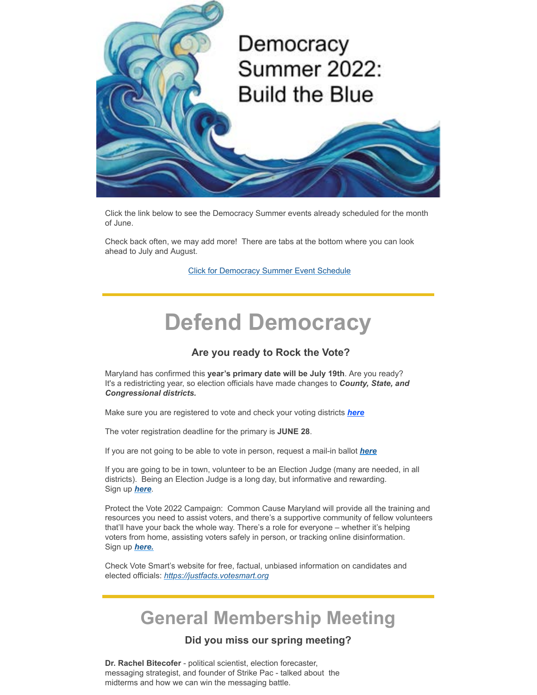

Click the link below to see the Democracy Summer events already scheduled for the month of June.

Check back often, we may add more! There are tabs at the bottom where you can look ahead to July and August.

[Click for Democracy Summer Event Schedule](https://docs.google.com/spreadsheets/d/1MFNFiUnl-XRNL53hjKjRfICqbQPSR5Pv/edit?usp=sharing&ouid=101816116899771431425&rtpof=true&sd=true&emci=d14a7f40-31de-ec11-b656-281878b85110&emdi=ea000000-0000-0000-0000-000000000001&ceid={{ContactsEmailID}})

# **Defend Democracy**

# **Are you ready to Rock the Vote?**

Maryland has confirmed this **year's primary date will be July 19th**. Are you ready? It's a redistricting year, so election officials have made changes to *County, State, and Congressional districts.*

Make sure you are registered to vote and check your voting districts *[here](https://voterservices.elections.maryland.gov/votersearch?emci=d14a7f40-31de-ec11-b656-281878b85110&emdi=ea000000-0000-0000-0000-000000000001&ceid={{ContactsEmailID}})*

The voter registration deadline for the primary is **JUNE 28**.

If you are not going to be able to vote in person, request a mail-in ballot *[here](https://voterservices.elections.maryland.gov/onlinemailinrequest/InstructionsStep1?emci=d14a7f40-31de-ec11-b656-281878b85110&emdi=ea000000-0000-0000-0000-000000000001&ceid={{ContactsEmailID}})*

If you are going to be in town, volunteer to be an Election Judge (many are needed, in all districts). Being an Election Judge is a long day, but informative and rewarding. Sign up *[here](https://www.elections.maryland.gov/get_involved/election_judges_form.html?emci=d14a7f40-31de-ec11-b656-281878b85110&emdi=ea000000-0000-0000-0000-000000000001&ceid={{ContactsEmailID}})*.

Protect the Vote 2022 Campaign: Common Cause Maryland will provide all the training and resources you need to assist voters, and there's a supportive community of fellow volunteers that'll have your back the whole way. There's a role for everyone – whether it's helping voters from home, assisting voters safely in person, or tracking online disinformation. Sign up *[here.](https://protectthevote.net/?link_id=1&can_id=8cc39b1769395686fe7dd6602f4121a1&source=email-mobilizing-more-volunteers-than-ever-2&email_referrer=email_1524072&email_subject=mobilizing-more-volunteers-than-ever&emci=d14a7f40-31de-ec11-b656-281878b85110&emdi=ea000000-0000-0000-0000-000000000001&ceid={{ContactsEmailID}})*

Check Vote Smart's website for free, factual, unbiased information on candidates and elected officials: *[https://justfacts.votesmart.org](https://justfacts.votesmart.org/?emci=d14a7f40-31de-ec11-b656-281878b85110&emdi=ea000000-0000-0000-0000-000000000001&ceid={{ContactsEmailID}})*

# **General Membership Meeting**

# **Did you miss our spring meeting?**

**Dr. Rachel Bitecofer** - political scientist, election forecaster, messaging strategist, and founder of Strike Pac - talked about the midterms and how we can win the messaging battle.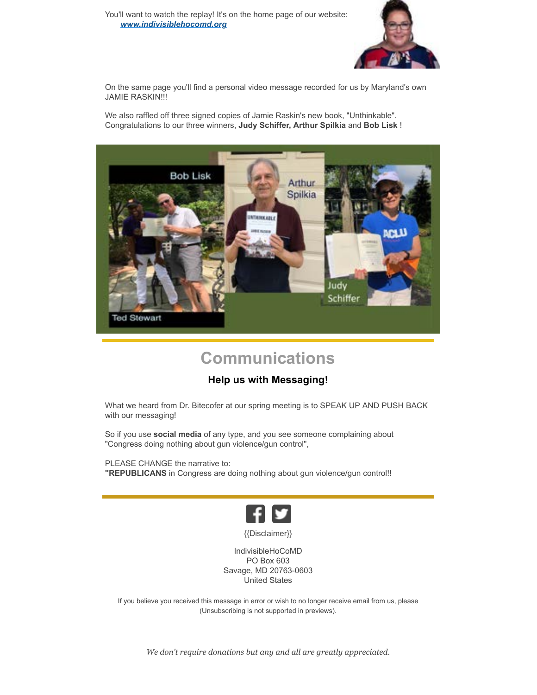

On the same page you'll find a personal video message recorded for us by Maryland's own JAMIE RASKIN!!!

We also raffled off three signed copies of Jamie Raskin's new book, "Unthinkable". Congratulations to our three winners, **Judy Schiffer, Arthur Spilkia** and **Bob Lisk** !



# **Communications**

# **Help us with Messaging!**

What we heard from Dr. Bitecofer at our spring meeting is to SPEAK UP AND PUSH BACK with our messaging!

So if you use **social media** of any type, and you see someone complaining about "Congress doing nothing about gun violence/gun control",

PLEASE CHANGE the narrative to: **"REPUBLICANS** in Congress are doing nothing about gun violence/gun control!!



{{Disclaimer}}

IndivisibleHoCoMD PO Box 603 Savage, MD 20763-0603 United States

If you believe you received this message in error or wish to no longer receive email from us, please (Unsubscribing is not supported in previews).

*We don't require donations but any and all are greatly appreciated.*